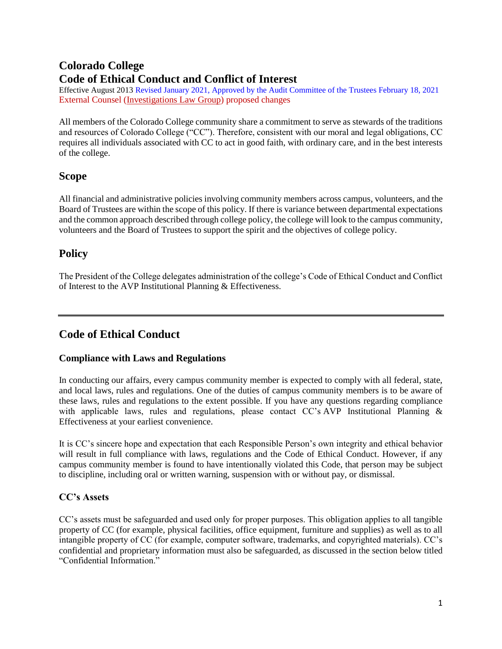# **Colorado College Code of Ethical Conduct and Conflict of Interest**

Effective August 2013 Revised January 2021, Approved by the Audit Committee of the Trustees February 18, 2021 External Counsel [\(Investigations Law Group\)](https://ilgdenver.com/) proposed changes

All members of the Colorado College community share a commitment to serve as stewards of the traditions and resources of Colorado College ("CC"). Therefore, consistent with our moral and legal obligations, CC requires all individuals associated with CC to act in good faith, with ordinary care, and in the best interests of the college.

# **Scope**

All financial and administrative policies involving community members across campus, volunteers, and the Board of Trustees are within the scope of this policy. If there is variance between departmental expectations and the common approach described through college policy, the college will look to the campus community, volunteers and the Board of Trustees to support the spirit and the objectives of college policy.

# **Policy**

The President of the College delegates administration of the college's Code of Ethical Conduct and Conflict of Interest to the AVP Institutional Planning & Effectiveness.

# **Code of Ethical Conduct**

# **Compliance with Laws and Regulations**

In conducting our affairs, every campus community member is expected to comply with all federal, state, and local laws, rules and regulations. One of the duties of campus community members is to be aware of these laws, rules and regulations to the extent possible. If you have any questions regarding compliance with applicable laws, rules and regulations, please contact CC's AVP Institutional Planning & Effectiveness at your earliest convenience.

It is CC's sincere hope and expectation that each Responsible Person's own integrity and ethical behavior will result in full compliance with laws, regulations and the Code of Ethical Conduct. However, if any campus community member is found to have intentionally violated this Code, that person may be subject to discipline, including oral or written warning, suspension with or without pay, or dismissal.

# **CC's Assets**

CC's assets must be safeguarded and used only for proper purposes. This obligation applies to all tangible property of CC (for example, physical facilities, office equipment, furniture and supplies) as well as to all intangible property of CC (for example, computer software, trademarks, and copyrighted materials). CC's confidential and proprietary information must also be safeguarded, as discussed in the section below titled "Confidential Information."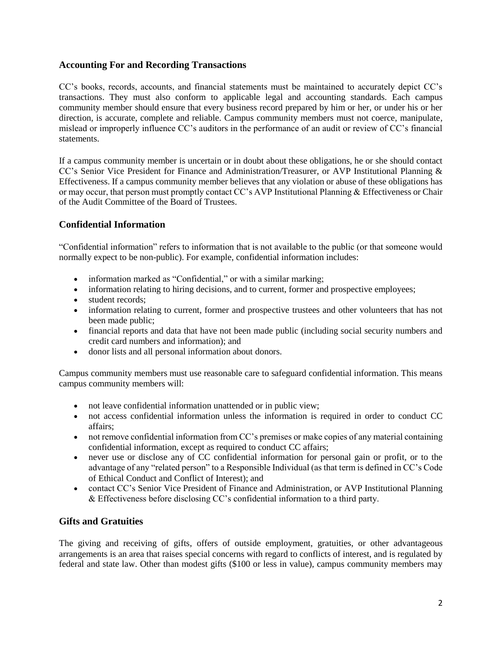### **Accounting For and Recording Transactions**

CC's books, records, accounts, and financial statements must be maintained to accurately depict CC's transactions. They must also conform to applicable legal and accounting standards. Each campus community member should ensure that every business record prepared by him or her, or under his or her direction, is accurate, complete and reliable. Campus community members must not coerce, manipulate, mislead or improperly influence CC's auditors in the performance of an audit or review of CC's financial statements.

If a campus community member is uncertain or in doubt about these obligations, he or she should contact CC's Senior Vice President for Finance and Administration/Treasurer, or AVP Institutional Planning & Effectiveness. If a campus community member believes that any violation or abuse of these obligations has or may occur, that person must promptly contact CC's AVP Institutional Planning & Effectiveness or Chair of the Audit Committee of the Board of Trustees.

## **Confidential Information**

"Confidential information" refers to information that is not available to the public (or that someone would normally expect to be non-public). For example, confidential information includes:

- information marked as "Confidential," or with a similar marking;
- information relating to hiring decisions, and to current, former and prospective employees;
- student records:
- information relating to current, former and prospective trustees and other volunteers that has not been made public;
- financial reports and data that have not been made public (including social security numbers and credit card numbers and information); and
- donor lists and all personal information about donors.

Campus community members must use reasonable care to safeguard confidential information. This means campus community members will:

- not leave confidential information unattended or in public view;
- not access confidential information unless the information is required in order to conduct CC affairs;
- not remove confidential information from CC's premises or make copies of any material containing confidential information, except as required to conduct CC affairs;
- never use or disclose any of CC confidential information for personal gain or profit, or to the advantage of any "related person" to a Responsible Individual (as that term is defined in CC's Code of Ethical Conduct and Conflict of Interest); and
- contact CC's Senior Vice President of Finance and Administration, or AVP Institutional Planning & Effectiveness before disclosing CC's confidential information to a third party.

### **Gifts and Gratuities**

The giving and receiving of gifts, offers of outside employment, gratuities, or other advantageous arrangements is an area that raises special concerns with regard to conflicts of interest, and is regulated by federal and state law. Other than modest gifts (\$100 or less in value), campus community members may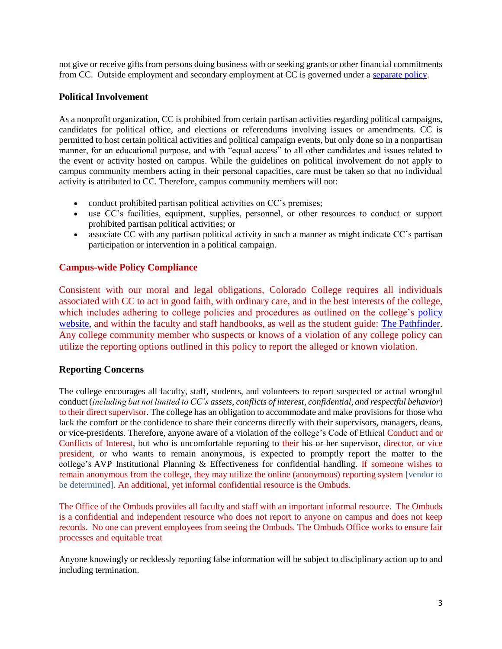not give or receive gifts from persons doing business with or seeking grants or other financial commitments from CC. Outside employment and secondary employment at CC is governed under a [separate policy.](https://www.coloradocollege.edu/basics/welcome/leadership/policies/outside-employment-for-staff)

## **Political Involvement**

As a nonprofit organization, CC is prohibited from certain partisan activities regarding political campaigns, candidates for political office, and elections or referendums involving issues or amendments. CC is permitted to host certain political activities and political campaign events, but only done so in a nonpartisan manner, for an educational purpose, and with "equal access" to all other candidates and issues related to the event or activity hosted on campus. While the guidelines on political involvement do not apply to campus community members acting in their personal capacities, care must be taken so that no individual activity is attributed to CC. Therefore, campus community members will not:

- conduct prohibited partisan political activities on CC's premises;
- use CC's facilities, equipment, supplies, personnel, or other resources to conduct or support prohibited partisan political activities; or
- associate CC with any partisan political activity in such a manner as might indicate CC's partisan participation or intervention in a political campaign.

# **Campus-wide Policy Compliance**

Consistent with our moral and legal obligations, Colorado College requires all individuals associated with CC to act in good faith, with ordinary care, and in the best interests of the college, which includes adhering to college policies and procedures as outlined on the college's policy [website,](https://www.coloradocollege.edu/basics/welcome/leadership/policies/index.html) and within the faculty and staff handbooks, as well as the student guide: [The Pathfinder.](https://www.coloradocollege.edu/other/pathfinder/) Any college community member who suspects or knows of a violation of any college policy can utilize the reporting options outlined in this policy to report the alleged or known violation.

### **Reporting Concerns**

The college encourages all faculty, staff, students, and volunteers to report suspected or actual wrongful conduct (*including but not limited to CC's assets, conflicts of interest, confidential, and respectful behavior*) to their direct supervisor. The college has an obligation to accommodate and make provisions for those who lack the comfort or the confidence to share their concerns directly with their supervisors, managers, deans, or vice-presidents. Therefore, anyone aware of a violation of the college's Code of Ethical Conduct and or Conflicts of Interest, but who is uncomfortable reporting to their his or her supervisor, director, or vice president, or who wants to remain anonymous, is expected to promptly report the matter to the college's AVP Institutional Planning & Effectiveness for confidential handling. If someone wishes to remain anonymous from the college, they may utilize the online (anonymous) reporting system [vendor to be determined]. An additional, yet informal confidential resource is the Ombuds.

The Office of the Ombuds provides all faculty and staff with an important informal resource. The Ombuds is a confidential and independent resource who does not report to anyone on campus and does not keep records. No one can prevent employees from seeing the Ombuds. The Ombuds Office works to ensure fair processes and equitable treat

Anyone knowingly or recklessly reporting false information will be subject to disciplinary action up to and including termination.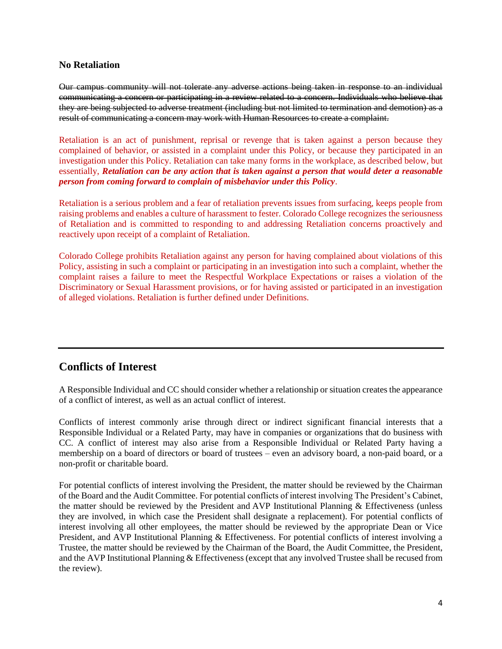#### **No Retaliation**

Our campus community will not tolerate any adverse actions being taken in response to an individual communicating a concern or participating in a review related to a concern. Individuals who believe that they are being subjected to adverse treatment (including but not limited to termination and demotion) as a result of communicating a concern may work with Human Resources to create a complaint.

Retaliation is an act of punishment, reprisal or revenge that is taken against a person because they complained of behavior, or assisted in a complaint under this Policy, or because they participated in an investigation under this Policy. Retaliation can take many forms in the workplace, as described below, but essentially, *Retaliation can be any action that is taken against a person that would deter a reasonable person from coming forward to complain of misbehavior under this Policy*.

Retaliation is a serious problem and a fear of retaliation prevents issues from surfacing, keeps people from raising problems and enables a culture of harassment to fester. Colorado College recognizes the seriousness of Retaliation and is committed to responding to and addressing Retaliation concerns proactively and reactively upon receipt of a complaint of Retaliation.

Colorado College prohibits Retaliation against any person for having complained about violations of this Policy, assisting in such a complaint or participating in an investigation into such a complaint, whether the complaint raises a failure to meet the Respectful Workplace Expectations or raises a violation of the Discriminatory or Sexual Harassment provisions, or for having assisted or participated in an investigation of alleged violations. Retaliation is further defined under Definitions.

# **Conflicts of Interest**

A Responsible Individual and CC should consider whether a relationship or situation creates the appearance of a conflict of interest, as well as an actual conflict of interest.

Conflicts of interest commonly arise through direct or indirect significant financial interests that a Responsible Individual or a Related Party, may have in companies or organizations that do business with CC. A conflict of interest may also arise from a Responsible Individual or Related Party having a membership on a board of directors or board of trustees – even an advisory board, a non-paid board, or a non-profit or charitable board.

For potential conflicts of interest involving the President, the matter should be reviewed by the Chairman of the Board and the Audit Committee. For potential conflicts of interest involving The President's Cabinet, the matter should be reviewed by the President and AVP Institutional Planning & Effectiveness (unless they are involved, in which case the President shall designate a replacement). For potential conflicts of interest involving all other employees, the matter should be reviewed by the appropriate Dean or Vice President, and AVP Institutional Planning & Effectiveness. For potential conflicts of interest involving a Trustee, the matter should be reviewed by the Chairman of the Board, the Audit Committee, the President, and the AVP Institutional Planning & Effectiveness (except that any involved Trustee shall be recused from the review).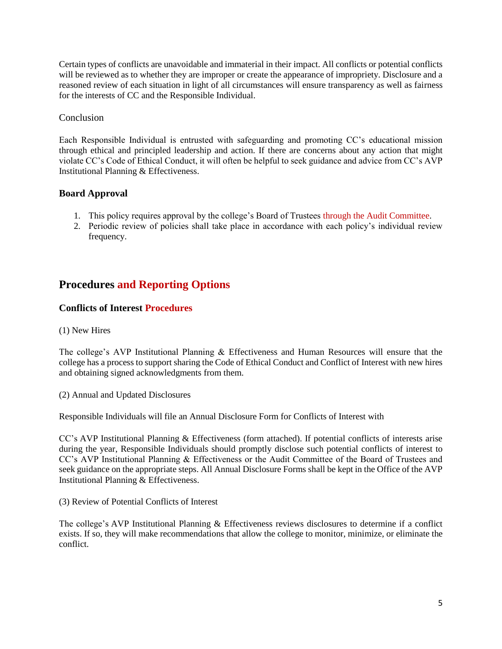Certain types of conflicts are unavoidable and immaterial in their impact. All conflicts or potential conflicts will be reviewed as to whether they are improper or create the appearance of impropriety. Disclosure and a reasoned review of each situation in light of all circumstances will ensure transparency as well as fairness for the interests of CC and the Responsible Individual.

### Conclusion

Each Responsible Individual is entrusted with safeguarding and promoting CC's educational mission through ethical and principled leadership and action. If there are concerns about any action that might violate CC's Code of Ethical Conduct, it will often be helpful to seek guidance and advice from CC's AVP Institutional Planning & Effectiveness.

## **Board Approval**

- 1. This policy requires approval by the college's Board of Trustees through the Audit Committee.
- 2. Periodic review of policies shall take place in accordance with each policy's individual review frequency.

# **Procedures and Reporting Options**

## **Conflicts of Interest Procedures**

### (1) New Hires

The college's AVP Institutional Planning & Effectiveness and Human Resources will ensure that the college has a process to support sharing the Code of Ethical Conduct and Conflict of Interest with new hires and obtaining signed acknowledgments from them.

(2) Annual and Updated Disclosures

Responsible Individuals will file an Annual Disclosure Form for Conflicts of Interest with

CC's AVP Institutional Planning & Effectiveness (form attached). If potential conflicts of interests arise during the year, Responsible Individuals should promptly disclose such potential conflicts of interest to CC's AVP Institutional Planning & Effectiveness or the Audit Committee of the Board of Trustees and seek guidance on the appropriate steps. All Annual Disclosure Forms shall be kept in the Office of the AVP Institutional Planning & Effectiveness.

(3) Review of Potential Conflicts of Interest

The college's AVP Institutional Planning & Effectiveness reviews disclosures to determine if a conflict exists. If so, they will make recommendations that allow the college to monitor, minimize, or eliminate the conflict.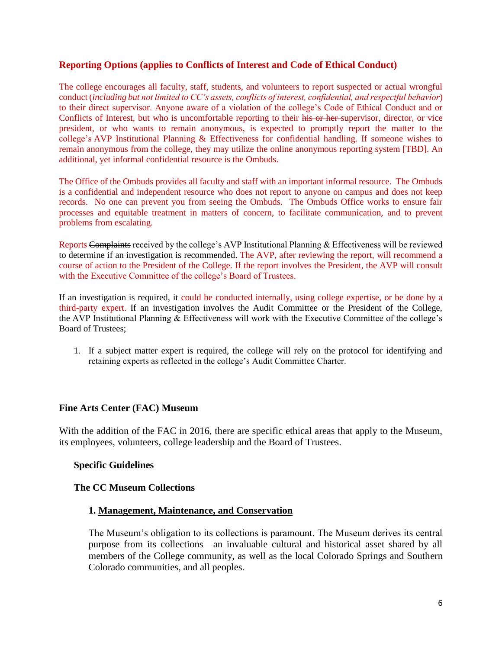### **Reporting Options (applies to Conflicts of Interest and Code of Ethical Conduct)**

The college encourages all faculty, staff, students, and volunteers to report suspected or actual wrongful conduct (*including but not limited to CC's assets, conflicts of interest, confidential, and respectful behavior*) to their direct supervisor. Anyone aware of a violation of the college's Code of Ethical Conduct and or Conflicts of Interest, but who is uncomfortable reporting to their his or her supervisor, director, or vice president, or who wants to remain anonymous, is expected to promptly report the matter to the college's AVP Institutional Planning & Effectiveness for confidential handling. If someone wishes to remain anonymous from the college, they may utilize the online anonymous reporting system [TBD]. An additional, yet informal confidential resource is the Ombuds.

The Office of the Ombuds provides all faculty and staff with an important informal resource. The Ombuds is a confidential and independent resource who does not report to anyone on campus and does not keep records. No one can prevent you from seeing the Ombuds. The Ombuds Office works to ensure fair processes and equitable treatment in matters of concern, to facilitate communication, and to prevent problems from escalating.

Reports Complaints received by the college's AVP Institutional Planning & Effectiveness will be reviewed to determine if an investigation is recommended. The AVP, after reviewing the report, will recommend a course of action to the President of the College. If the report involves the President, the AVP will consult with the Executive Committee of the college's Board of Trustees.

If an investigation is required, it could be conducted internally, using college expertise, or be done by a third-party expert. If an investigation involves the Audit Committee or the President of the College, the AVP Institutional Planning & Effectiveness will work with the Executive Committee of the college's Board of Trustees;

1. If a subject matter expert is required, the college will rely on the protocol for identifying and retaining experts as reflected in the college's Audit Committee Charter.

### **Fine Arts Center (FAC) Museum**

With the addition of the FAC in 2016, there are specific ethical areas that apply to the Museum, its employees, volunteers, college leadership and the Board of Trustees.

### **Specific Guidelines**

### **The CC Museum Collections**

### **1. Management, Maintenance, and Conservation**

The Museum's obligation to its collections is paramount. The Museum derives its central purpose from its collections—an invaluable cultural and historical asset shared by all members of the College community, as well as the local Colorado Springs and Southern Colorado communities, and all peoples.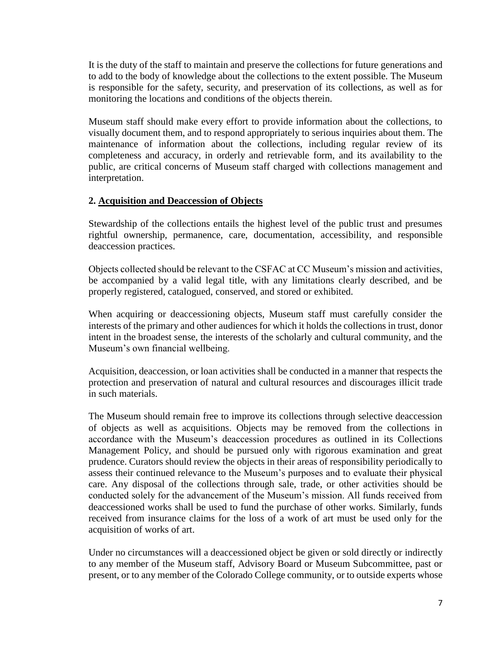It is the duty of the staff to maintain and preserve the collections for future generations and to add to the body of knowledge about the collections to the extent possible. The Museum is responsible for the safety, security, and preservation of its collections, as well as for monitoring the locations and conditions of the objects therein.

Museum staff should make every effort to provide information about the collections, to visually document them, and to respond appropriately to serious inquiries about them. The maintenance of information about the collections, including regular review of its completeness and accuracy, in orderly and retrievable form, and its availability to the public, are critical concerns of Museum staff charged with collections management and interpretation.

## **2. Acquisition and Deaccession of Objects**

Stewardship of the collections entails the highest level of the public trust and presumes rightful ownership, permanence, care, documentation, accessibility, and responsible deaccession practices.

Objects collected should be relevant to the CSFAC at CC Museum's mission and activities, be accompanied by a valid legal title, with any limitations clearly described, and be properly registered, catalogued, conserved, and stored or exhibited.

When acquiring or deaccessioning objects, Museum staff must carefully consider the interests of the primary and other audiences for which it holds the collections in trust, donor intent in the broadest sense, the interests of the scholarly and cultural community, and the Museum's own financial wellbeing.

Acquisition, deaccession, or loan activities shall be conducted in a manner that respects the protection and preservation of natural and cultural resources and discourages illicit trade in such materials.

The Museum should remain free to improve its collections through selective deaccession of objects as well as acquisitions. Objects may be removed from the collections in accordance with the Museum's deaccession procedures as outlined in its Collections Management Policy, and should be pursued only with rigorous examination and great prudence. Curators should review the objects in their areas of responsibility periodically to assess their continued relevance to the Museum's purposes and to evaluate their physical care. Any disposal of the collections through sale, trade, or other activities should be conducted solely for the advancement of the Museum's mission. All funds received from deaccessioned works shall be used to fund the purchase of other works. Similarly, funds received from insurance claims for the loss of a work of art must be used only for the acquisition of works of art.

Under no circumstances will a deaccessioned object be given or sold directly or indirectly to any member of the Museum staff, Advisory Board or Museum Subcommittee, past or present, or to any member of the Colorado College community, or to outside experts whose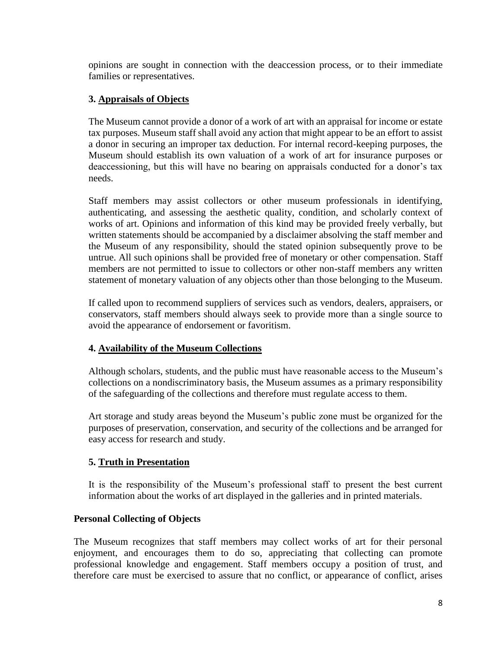opinions are sought in connection with the deaccession process, or to their immediate families or representatives.

# **3. Appraisals of Objects**

The Museum cannot provide a donor of a work of art with an appraisal for income or estate tax purposes. Museum staff shall avoid any action that might appear to be an effort to assist a donor in securing an improper tax deduction. For internal record-keeping purposes, the Museum should establish its own valuation of a work of art for insurance purposes or deaccessioning, but this will have no bearing on appraisals conducted for a donor's tax needs.

Staff members may assist collectors or other museum professionals in identifying, authenticating, and assessing the aesthetic quality, condition, and scholarly context of works of art. Opinions and information of this kind may be provided freely verbally, but written statements should be accompanied by a disclaimer absolving the staff member and the Museum of any responsibility, should the stated opinion subsequently prove to be untrue. All such opinions shall be provided free of monetary or other compensation. Staff members are not permitted to issue to collectors or other non-staff members any written statement of monetary valuation of any objects other than those belonging to the Museum.

If called upon to recommend suppliers of services such as vendors, dealers, appraisers, or conservators, staff members should always seek to provide more than a single source to avoid the appearance of endorsement or favoritism.

# **4. Availability of the Museum Collections**

Although scholars, students, and the public must have reasonable access to the Museum's collections on a nondiscriminatory basis, the Museum assumes as a primary responsibility of the safeguarding of the collections and therefore must regulate access to them.

Art storage and study areas beyond the Museum's public zone must be organized for the purposes of preservation, conservation, and security of the collections and be arranged for easy access for research and study.

# **5. Truth in Presentation**

It is the responsibility of the Museum's professional staff to present the best current information about the works of art displayed in the galleries and in printed materials.

# **Personal Collecting of Objects**

The Museum recognizes that staff members may collect works of art for their personal enjoyment, and encourages them to do so, appreciating that collecting can promote professional knowledge and engagement. Staff members occupy a position of trust, and therefore care must be exercised to assure that no conflict, or appearance of conflict, arises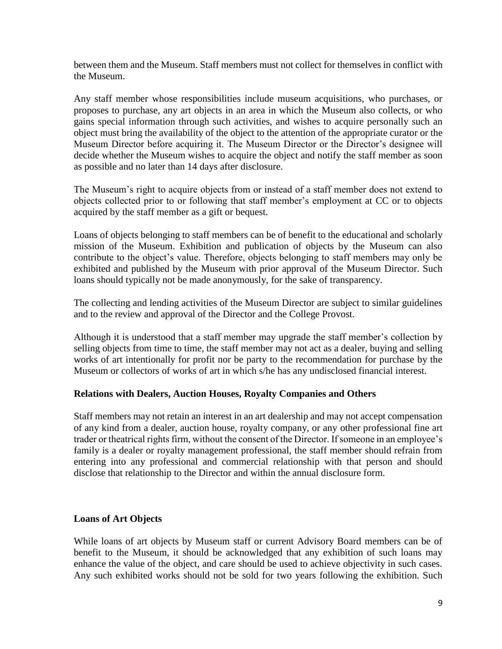between them and the Museum. Staff members must not collect for themselves in conflict with the Museum.

Any staff member whose responsibilities include museum acquisitions, who purchases, or proposes to purchase, any art objects in an area in which the Museum also collects, or who gains special information through such activities, and wishes to acquire personally such an object must bring the availability of the object to the attention of the appropriate curator or the Museum Director before acquiring it. The Museum Director or the Director's designee will decide whether the Museum wishes to acquire the object and notify the staff member as soon as possible and no later than 14 days after disclosure.

The Museum's right to acquire objects from or instead of a staff member does not extend to objects collected prior to or following that staff member's employment at CC or to objects acquired by the staff member as a gift or bequest.

Loans of objects belonging to staff members can be of benefit to the educational and scholarly mission of the Museum. Exhibition and publication of objects by the Museum can also contribute to the object's value. Therefore, objects belonging to staff members may only be exhibited and published by the Museum with prior approval of the Museum Director. Such loans should typically not be made anonymously, for the sake of transparency.

The collecting and lending activities of the Museum Director are subject to similar guidelines and to the review and approval of the Director and the College Provost.

Although it is understood that a staff member may upgrade the staff member's collection by selling objects from time to time, the staff member may not act as a dealer, buying and selling works of art intentionally for profit nor be party to the recommendation for purchase by the Museum or collectors of works of art in which s/he has any undisclosed financial interest.

# **Relations with Dealers, Auction Houses, Royalty Companies and Others**

Staff members may not retain an interest in an art dealership and may not accept compensation of any kind from a dealer, auction house, royalty company, or any other professional fine art trader or theatrical rights firm, without the consent of the Director. If someone in an employee's family is a dealer or royalty management professional, the staff member should refrain from entering into any professional and commercial relationship with that person and should disclose that relationship to the Director and within the annual disclosure form.

# **Loans of Art Objects**

While loans of art objects by Museum staff or current Advisory Board members can be of benefit to the Museum, it should be acknowledged that any exhibition of such loans may enhance the value of the object, and care should be used to achieve objectivity in such cases. Any such exhibited works should not be sold for two years following the exhibition. Such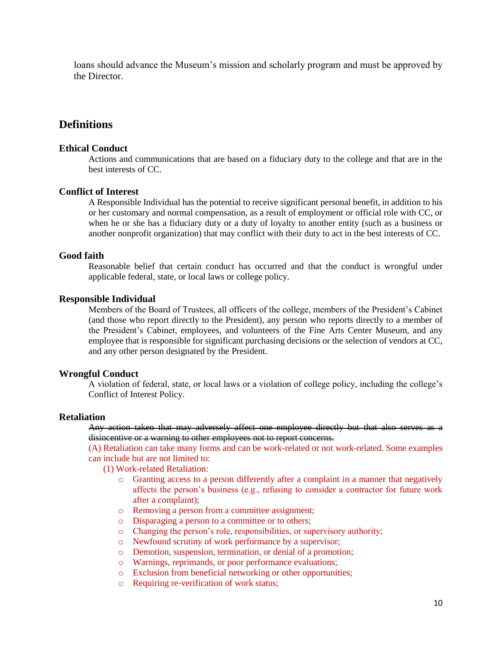loans should advance the Museum's mission and scholarly program and must be approved by the Director.

# **Definitions**

#### **Ethical Conduct**

Actions and communications that are based on a fiduciary duty to the college and that are in the best interests of CC.

#### **Conflict of Interest**

A Responsible Individual has the potential to receive significant personal benefit, in addition to his or her customary and normal compensation, as a result of employment or official role with CC, or when he or she has a fiduciary duty or a duty of loyalty to another entity (such as a business or another nonprofit organization) that may conflict with their duty to act in the best interests of CC.

#### **Good faith**

Reasonable belief that certain conduct has occurred and that the conduct is wrongful under applicable federal, state, or local laws or college policy.

#### **Responsible Individual**

Members of the Board of Trustees, all officers of the college, members of the President's Cabinet (and those who report directly to the President), any person who reports directly to a member of the President's Cabinet, employees, and volunteers of the Fine Arts Center Museum, and any employee that is responsible for significant purchasing decisions or the selection of vendors at CC, and any other person designated by the President.

#### **Wrongful Conduct**

A violation of federal, state, or local laws or a violation of college policy, including the college's Conflict of Interest Policy.

#### **Retaliation**

Any action taken that may adversely affect one employee directly but that also serves as a disincentive or a warning to other employees not to report concerns.

(A) Retaliation can take many forms and can be work-related or not work-related. Some examples can include but are not limited to:

(1) Work-related Retaliation:

- o Granting access to a person differently after a complaint in a manner that negatively affects the person's business (e.g., refusing to consider a contractor for future work after a complaint);
- o Removing a person from a committee assignment;
- o Disparaging a person to a committee or to others;
- o Changing the person's role, responsibilities, or supervisory authority;
- o Newfound scrutiny of work performance by a supervisor;
- o Demotion, suspension, termination, or denial of a promotion;
- o Warnings, reprimands, or poor performance evaluations;
- o Exclusion from beneficial networking or other opportunities;
- o Requiring re-verification of work status;